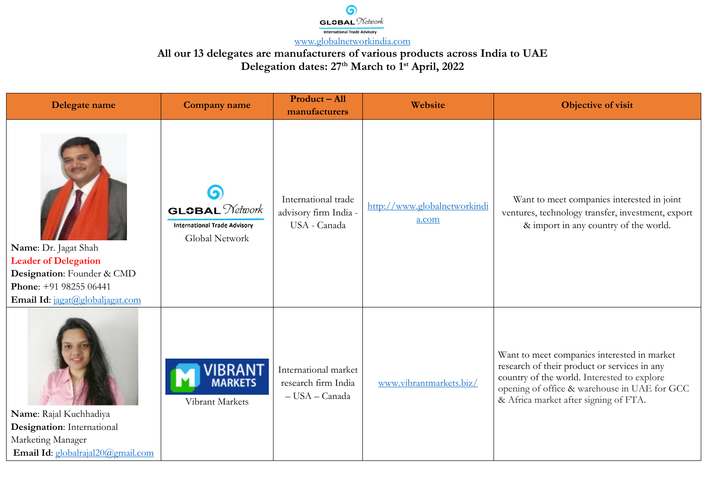

| Delegate name                                                                                                                                  | <b>Company name</b>                                                                   | Product-All<br>manufacturers                                  | Website                               | Objective of visit                                                                                                                                                                                                                  |
|------------------------------------------------------------------------------------------------------------------------------------------------|---------------------------------------------------------------------------------------|---------------------------------------------------------------|---------------------------------------|-------------------------------------------------------------------------------------------------------------------------------------------------------------------------------------------------------------------------------------|
| Name: Dr. Jagat Shah<br><b>Leader of Delegation</b><br>Designation: Founder & CMD<br>Phone: +91 98255 06441<br>Email Id: jagat@globaljagat.com | <b>GLOBAL</b> <i>Network</i><br><b>International Trade Advisory</b><br>Global Network | International trade<br>advisory firm India -<br>USA - Canada  | http://www.globalnetworkindi<br>a.com | Want to meet companies interested in joint<br>ventures, technology transfer, investment, export<br>& import in any country of the world.                                                                                            |
| Name: Rajal Kuchhadiya<br>Designation: International<br>Marketing Manager<br>Email Id: globalrajal20@gmail.com                                 | 'IBRANT<br>markets<br>Vibrant Markets                                                 | International market<br>research firm India<br>- USA - Canada | www.vibrantmarkets.biz/               | Want to meet companies interested in market<br>research of their product or services in any<br>country of the world. Interested to explore<br>opening of office & warehouse in UAE for GCC<br>& Africa market after signing of FTA. |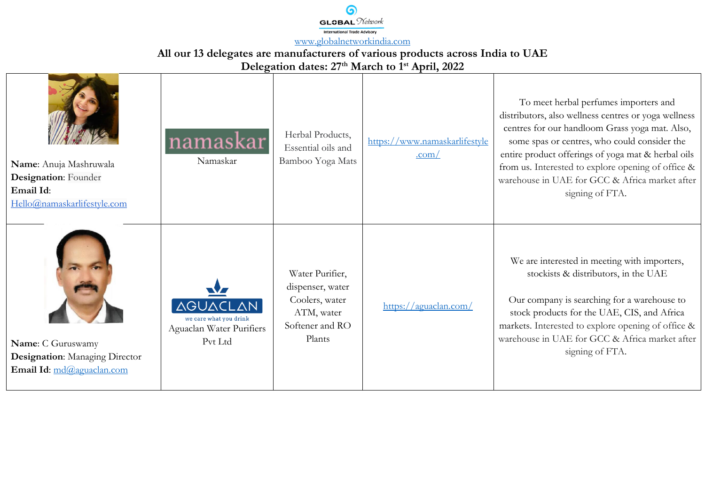$GI$  CRAL  $N$ etwork International Trade Advisory [www.globalnetworkindia.com](http://www.globalnetworkindia.com/)

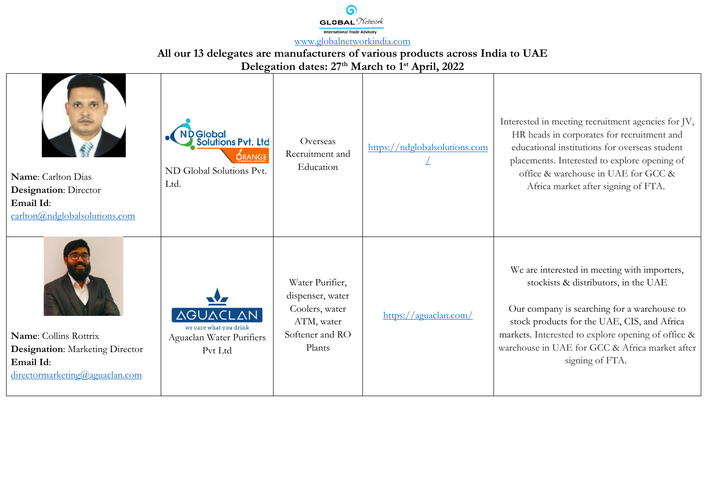

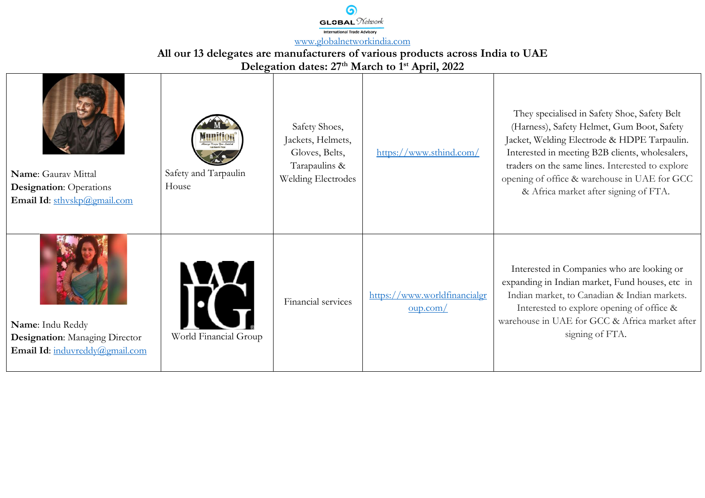

**All our 13 delegates are manufacturers of various products across India to UAE** 

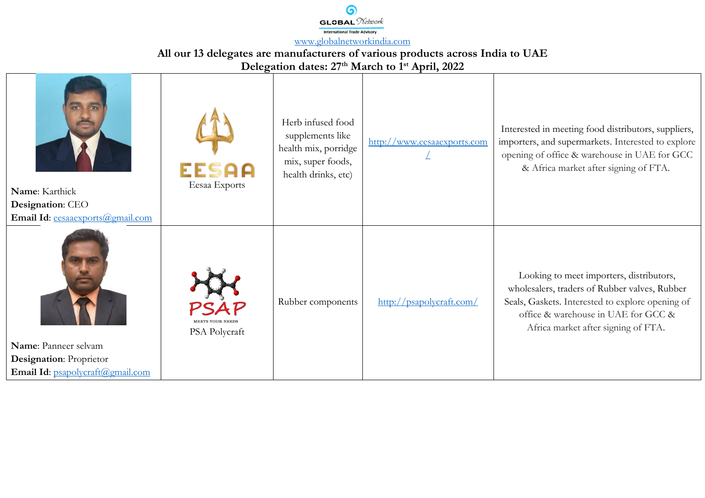

**All our 13 delegates are manufacturers of various products across India to UAE** 

**Delegation dates: 27th March to 1st April, 2022**

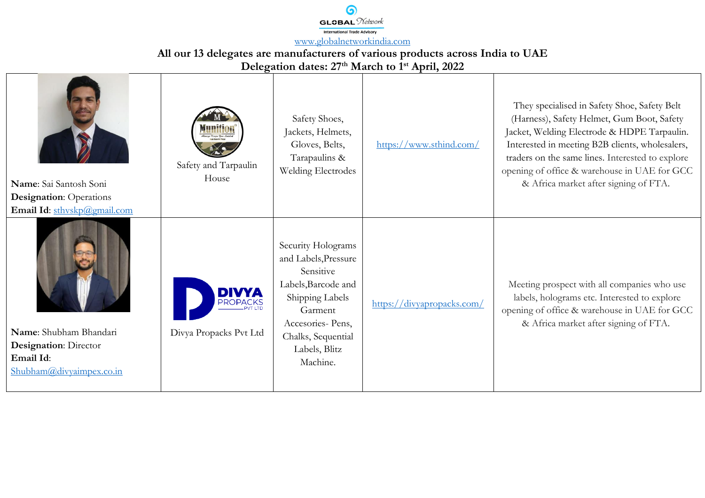$GI$   $\Omega$  $A$  $I$   $\mathcal{N}$ etwork International Trade Advisory [www.globalnetworkindia.com](http://www.globalnetworkindia.com/)